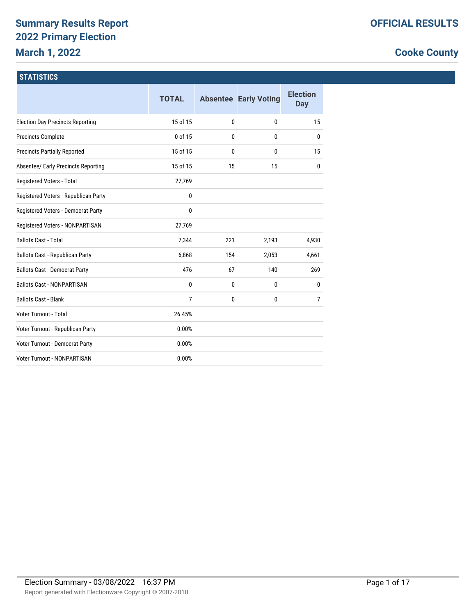# **Summary Results Report 2022 Primary Election March 1, 2022**

# **Cooke County**

#### **STATISTICS**

|                                            | <b>TOTAL</b>   |     | <b>Absentee Early Voting</b> | <b>Election</b><br>Day |
|--------------------------------------------|----------------|-----|------------------------------|------------------------|
| <b>Election Day Precincts Reporting</b>    | 15 of 15       | 0   | $\mathbf{0}$                 | 15                     |
| <b>Precincts Complete</b>                  | 0 of 15        | 0   | $\mathbf{0}$                 | $\mathbf{0}$           |
| <b>Precincts Partially Reported</b>        | 15 of 15       | 0   | $\mathbf{0}$                 | 15                     |
| <b>Absentee/ Early Precincts Reporting</b> | 15 of 15       | 15  | 15                           | $\mathbf{0}$           |
| Registered Voters - Total                  | 27,769         |     |                              |                        |
| Registered Voters - Republican Party       | 0              |     |                              |                        |
| Registered Voters - Democrat Party         | 0              |     |                              |                        |
| Registered Voters - NONPARTISAN            | 27,769         |     |                              |                        |
| <b>Ballots Cast - Total</b>                | 7,344          | 221 | 2,193                        | 4,930                  |
| Ballots Cast - Republican Party            | 6,868          | 154 | 2,053                        | 4,661                  |
| <b>Ballots Cast - Democrat Party</b>       | 476            | 67  | 140                          | 269                    |
| <b>Ballots Cast - NONPARTISAN</b>          | 0              | 0   | $\mathbf{0}$                 | 0                      |
| <b>Ballots Cast - Blank</b>                | $\overline{7}$ | 0   | 0                            | $\overline{7}$         |
| Voter Turnout - Total                      | 26.45%         |     |                              |                        |
| Voter Turnout - Republican Party           | 0.00%          |     |                              |                        |
| Voter Turnout - Democrat Party             | 0.00%          |     |                              |                        |
| Voter Turnout - NONPARTISAN                | 0.00%          |     |                              |                        |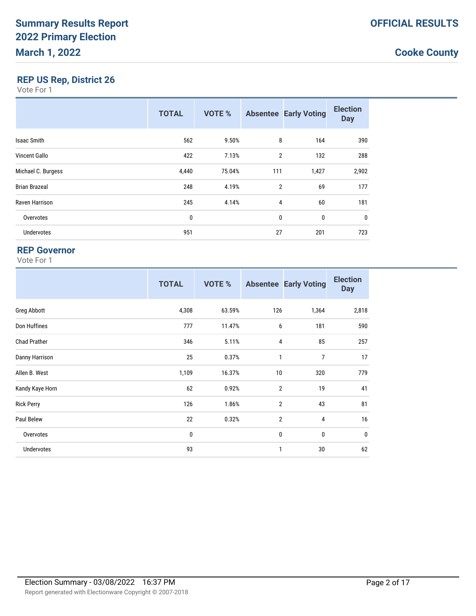### **REP US Rep, District 26**

Vote For 1

|                      | <b>TOTAL</b> | <b>VOTE %</b> |                | <b>Absentee Early Voting</b> | <b>Election</b><br><b>Day</b> |
|----------------------|--------------|---------------|----------------|------------------------------|-------------------------------|
| <b>Isaac Smith</b>   | 562          | 9.50%         | 8              | 164                          | 390                           |
| Vincent Gallo        | 422          | 7.13%         | $\overline{2}$ | 132                          | 288                           |
| Michael C. Burgess   | 4,440        | 75.04%        | 111            | 1,427                        | 2,902                         |
| <b>Brian Brazeal</b> | 248          | 4.19%         | 2              | 69                           | 177                           |
| Raven Harrison       | 245          | 4.14%         | 4              | 60                           | 181                           |
| Overvotes            | 0            |               | $\mathbf 0$    | 0                            | $\mathbf 0$                   |
| <b>Undervotes</b>    | 951          |               | 27             | 201                          | 723                           |

### **REP Governor**

|                     | <b>TOTAL</b> | <b>VOTE %</b> |                | <b>Absentee Early Voting</b> | <b>Election</b><br><b>Day</b> |
|---------------------|--------------|---------------|----------------|------------------------------|-------------------------------|
| Greg Abbott         | 4,308        | 63.59%        | 126            | 1,364                        | 2,818                         |
| Don Huffines        | 777          | 11.47%        | 6              | 181                          | 590                           |
| <b>Chad Prather</b> | 346          | 5.11%         | 4              | 85                           | 257                           |
| Danny Harrison      | 25           | 0.37%         | 1              | $\overline{7}$               | 17                            |
| Allen B. West       | 1,109        | 16.37%        | 10             | 320                          | 779                           |
| Kandy Kaye Horn     | 62           | 0.92%         | $\overline{2}$ | 19                           | 41                            |
| <b>Rick Perry</b>   | 126          | 1.86%         | $\overline{2}$ | 43                           | 81                            |
| Paul Belew          | 22           | 0.32%         | $\overline{2}$ | 4                            | 16                            |
| Overvotes           | 0            |               | $\pmb{0}$      | $\pmb{0}$                    | $\mathbf 0$                   |
| Undervotes          | 93           |               | 1              | 30                           | 62                            |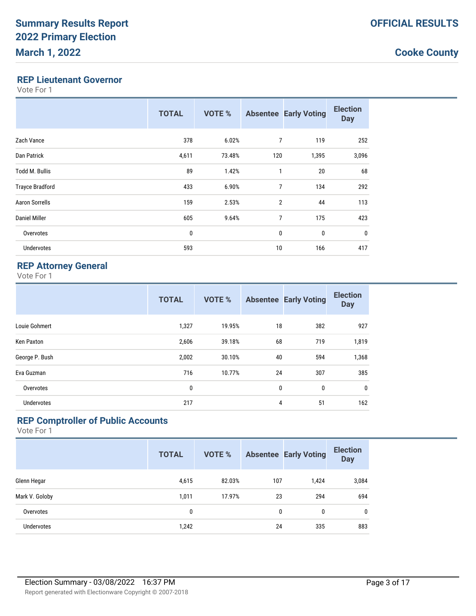#### **REP Lieutenant Governor**

Vote For 1

|                        | <b>TOTAL</b> | <b>VOTE %</b> |                | <b>Absentee Early Voting</b> | <b>Election</b><br><b>Day</b> |
|------------------------|--------------|---------------|----------------|------------------------------|-------------------------------|
| Zach Vance             | 378          | 6.02%         | 7              | 119                          | 252                           |
| Dan Patrick            | 4,611        | 73.48%        | 120            | 1,395                        | 3,096                         |
| <b>Todd M. Bullis</b>  | 89           | 1.42%         | 1              | 20                           | 68                            |
| <b>Trayce Bradford</b> | 433          | 6.90%         | $\overline{7}$ | 134                          | 292                           |
| <b>Aaron Sorrells</b>  | 159          | 2.53%         | $\overline{2}$ | 44                           | 113                           |
| Daniel Miller          | 605          | 9.64%         | 7              | 175                          | 423                           |
| Overvotes              | 0            |               | $\mathbf 0$    | 0                            | $\mathbf 0$                   |
| Undervotes             | 593          |               | 10             | 166                          | 417                           |

### **REP Attorney General**

Vote For 1

|                   | <b>TOTAL</b> | <b>VOTE %</b> |    | <b>Absentee Early Voting</b> | <b>Election</b><br><b>Day</b> |
|-------------------|--------------|---------------|----|------------------------------|-------------------------------|
| Louie Gohmert     | 1,327        | 19.95%        | 18 | 382                          | 927                           |
| Ken Paxton        | 2,606        | 39.18%        | 68 | 719                          | 1,819                         |
| George P. Bush    | 2,002        | 30.10%        | 40 | 594                          | 1,368                         |
| Eva Guzman        | 716          | 10.77%        | 24 | 307                          | 385                           |
| Overvotes         | 0            |               | 0  | 0                            | $\mathbf 0$                   |
| <b>Undervotes</b> | 217          |               | 4  | 51                           | 162                           |

## **REP Comptroller of Public Accounts**

|                   | <b>TOTAL</b> | <b>VOTE %</b> |     | <b>Absentee Early Voting</b> | <b>Election</b><br><b>Day</b> |
|-------------------|--------------|---------------|-----|------------------------------|-------------------------------|
| Glenn Hegar       | 4,615        | 82.03%        | 107 | 1,424                        | 3,084                         |
| Mark V. Goloby    | 1,011        | 17.97%        | 23  | 294                          | 694                           |
| Overvotes         | 0            |               | 0   | 0                            | 0                             |
| <b>Undervotes</b> | 1,242        |               | 24  | 335                          | 883                           |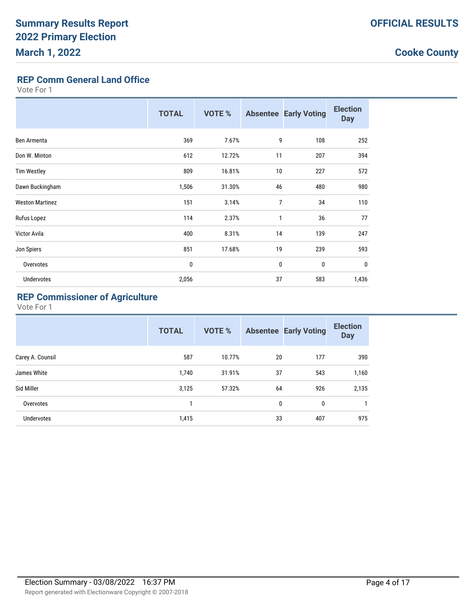# **REP Comm General Land Office**

Vote For 1

|                        | <b>TOTAL</b> | VOTE % |                | <b>Absentee Early Voting</b> | <b>Election</b><br><b>Day</b> |
|------------------------|--------------|--------|----------------|------------------------------|-------------------------------|
| Ben Armenta            | 369          | 7.67%  | 9              | 108                          | 252                           |
| Don W. Minton          | 612          | 12.72% | 11             | 207                          | 394                           |
| <b>Tim Westley</b>     | 809          | 16.81% | 10             | 227                          | 572                           |
| Dawn Buckingham        | 1,506        | 31.30% | 46             | 480                          | 980                           |
| <b>Weston Martinez</b> | 151          | 3.14%  | $\overline{7}$ | 34                           | 110                           |
| Rufus Lopez            | 114          | 2.37%  | 1              | 36                           | 77                            |
| Victor Avila           | 400          | 8.31%  | 14             | 139                          | 247                           |
| Jon Spiers             | 851          | 17.68% | 19             | 239                          | 593                           |
| Overvotes              | 0            |        | $\mathbf 0$    | 0                            | $\mathbf 0$                   |
| Undervotes             | 2,056        |        | 37             | 583                          | 1,436                         |

# **REP Commissioner of Agriculture**

|                  | <b>TOTAL</b> | <b>VOTE %</b> |    | <b>Absentee Early Voting</b> | <b>Election</b><br><b>Day</b> |
|------------------|--------------|---------------|----|------------------------------|-------------------------------|
| Carey A. Counsil | 587          | 10.77%        | 20 | 177                          | 390                           |
| James White      | 1,740        | 31.91%        | 37 | 543                          | 1,160                         |
| Sid Miller       | 3,125        | 57.32%        | 64 | 926                          | 2,135                         |
| Overvotes        | $\mathbf{1}$ |               | 0  | 0                            | 1                             |
| Undervotes       | 1,415        |               | 33 | 407                          | 975                           |
|                  |              |               |    |                              |                               |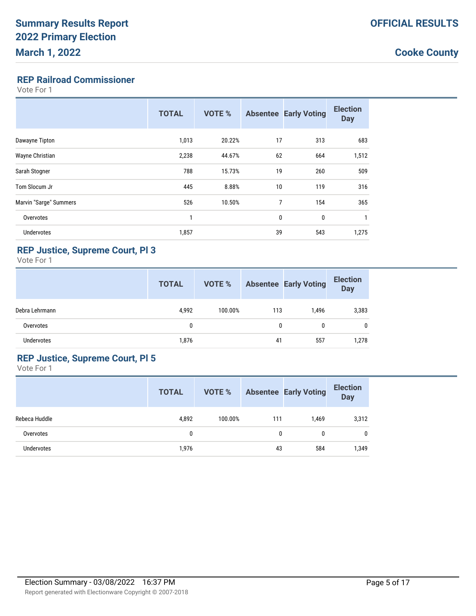### **REP Railroad Commissioner**

Vote For 1

|                        | <b>TOTAL</b> | <b>VOTE %</b> |    | <b>Absentee Early Voting</b> | <b>Election</b><br><b>Day</b> |
|------------------------|--------------|---------------|----|------------------------------|-------------------------------|
| Dawayne Tipton         | 1,013        | 20.22%        | 17 | 313                          | 683                           |
| Wayne Christian        | 2,238        | 44.67%        | 62 | 664                          | 1,512                         |
| Sarah Stogner          | 788          | 15.73%        | 19 | 260                          | 509                           |
| Tom Slocum Jr          | 445          | 8.88%         | 10 | 119                          | 316                           |
| Marvin "Sarge" Summers | 526          | 10.50%        | 7  | 154                          | 365                           |
| Overvotes              | 1            |               | 0  | 0                            | 1                             |
| Undervotes             | 1,857        |               | 39 | 543                          | 1,275                         |

## **REP Justice, Supreme Court, Pl 3**

Vote For 1

|                | <b>TOTAL</b> | VOTE %  |     | <b>Absentee Early Voting</b> | <b>Election</b><br><b>Day</b> |
|----------------|--------------|---------|-----|------------------------------|-------------------------------|
| Debra Lehrmann | 4,992        | 100.00% | 113 | 1.496                        | 3,383                         |
| Overvotes      | 0            |         | 0   |                              | 0                             |
| Undervotes     | 1,876        |         | 41  | 557                          | 1,278                         |

### **REP Justice, Supreme Court, Pl 5**

|                   | <b>TOTAL</b> | VOTE %  |     | <b>Absentee Early Voting</b> | <b>Election</b><br><b>Day</b> |
|-------------------|--------------|---------|-----|------------------------------|-------------------------------|
| Rebeca Huddle     | 4,892        | 100.00% | 111 | 1,469                        | 3,312                         |
| Overvotes         | 0            |         | 0   | 0                            | $\mathbf{0}$                  |
| <b>Undervotes</b> | 1,976        |         | 43  | 584                          | 1,349                         |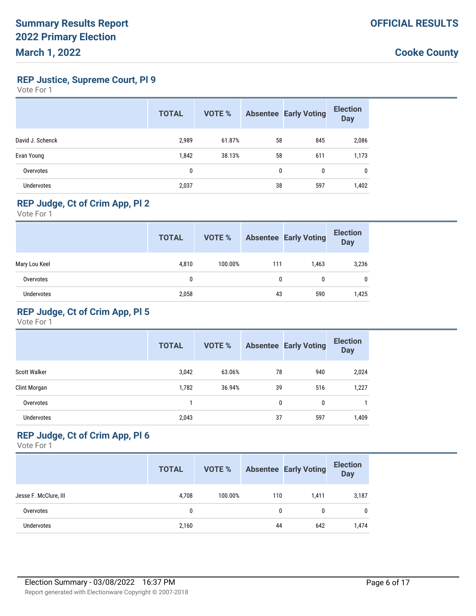**REP Justice, Supreme Court, Pl 9**

Vote For 1

|                   | <b>TOTAL</b> | <b>VOTE %</b> |              | <b>Absentee Early Voting</b> | <b>Election</b><br><b>Day</b> |
|-------------------|--------------|---------------|--------------|------------------------------|-------------------------------|
| David J. Schenck  | 2,989        | 61.87%        | 58           | 845                          | 2,086                         |
| Evan Young        | 1,842        | 38.13%        | 58           | 611                          | 1,173                         |
| Overvotes         | 0            |               | $\mathbf{0}$ | 0                            | $\mathbf{0}$                  |
| <b>Undervotes</b> | 2,037        |               | 38           | 597                          | 1,402                         |

### **REP Judge, Ct of Crim App, Pl 2**

Vote For 1

|                   | <b>TOTAL</b> | VOTE %  |     | <b>Absentee Early Voting</b> | <b>Election</b><br><b>Day</b> |
|-------------------|--------------|---------|-----|------------------------------|-------------------------------|
| Mary Lou Keel     | 4,810        | 100.00% | 111 | 1,463                        | 3,236                         |
| Overvotes         | 0            |         | 0   | 0                            | 0                             |
| <b>Undervotes</b> | 2,058        |         | 43  | 590                          | 1,425                         |

### **REP Judge, Ct of Crim App, Pl 5**

Vote For 1

|                     | <b>TOTAL</b> | <b>VOTE %</b> |    | <b>Absentee Early Voting</b> | <b>Election</b><br><b>Day</b> |
|---------------------|--------------|---------------|----|------------------------------|-------------------------------|
| <b>Scott Walker</b> | 3,042        | 63.06%        | 78 | 940                          | 2,024                         |
| Clint Morgan        | 1,782        | 36.94%        | 39 | 516                          | 1,227                         |
| Overvotes           |              |               | 0  | $\mathbf{0}$                 |                               |
| <b>Undervotes</b>   | 2,043        |               | 37 | 597                          | 1,409                         |

## **REP Judge, Ct of Crim App, Pl 6**

|                       | <b>TOTAL</b> | <b>VOTE %</b> |     | <b>Absentee Early Voting</b> | <b>Election</b><br><b>Day</b> |
|-----------------------|--------------|---------------|-----|------------------------------|-------------------------------|
| Jesse F. McClure, III | 4.708        | 100.00%       | 110 | 1.411                        | 3,187                         |
| Overvotes             | 0            |               | 0   | 0                            | $\mathbf{0}$                  |
| Undervotes            | 2,160        |               | 44  | 642                          | 1,474                         |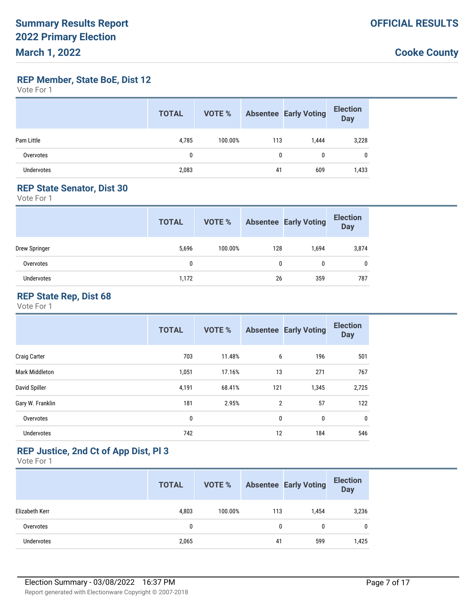**REP Member, State BoE, Dist 12**

Vote For 1

|            | <b>TOTAL</b> | VOTE %  |     | <b>Absentee Early Voting</b> | <b>Election</b><br><b>Day</b> |
|------------|--------------|---------|-----|------------------------------|-------------------------------|
| Pam Little | 4,785        | 100.00% | 113 | 1,444                        | 3,228                         |
| Overvotes  | 0            |         | 0   | 0                            | 0                             |
| Undervotes | 2,083        |         | 41  | 609                          | 1,433                         |

#### **REP State Senator, Dist 30**

Vote For 1

|               | <b>TOTAL</b> | VOTE %  |              | <b>Absentee Early Voting</b> | <b>Election</b><br><b>Day</b> |
|---------------|--------------|---------|--------------|------------------------------|-------------------------------|
| Drew Springer | 5,696        | 100.00% | 128          | 1,694                        | 3,874                         |
| Overvotes     | 0            |         | $\mathbf{0}$ | $\mathbf{0}$                 | $\mathbf{0}$                  |
| Undervotes    | 1,172        |         | 26           | 359                          | 787                           |

#### **REP State Rep, Dist 68**

Vote For 1

|                   | <b>TOTAL</b> | <b>VOTE %</b> |                | <b>Absentee Early Voting</b> | <b>Election</b><br><b>Day</b> |
|-------------------|--------------|---------------|----------------|------------------------------|-------------------------------|
| Craig Carter      | 703          | 11.48%        | 6              | 196                          | 501                           |
| Mark Middleton    | 1,051        | 17.16%        | 13             | 271                          | 767                           |
| David Spiller     | 4,191        | 68.41%        | 121            | 1,345                        | 2,725                         |
| Gary W. Franklin  | 181          | 2.95%         | $\overline{2}$ | 57                           | 122                           |
| Overvotes         | $\mathbf{0}$ |               | $\mathbf{0}$   | 0                            | 0                             |
| <b>Undervotes</b> | 742          |               | 12             | 184                          | 546                           |

## **REP Justice, 2nd Ct of App Dist, Pl 3**

|                   | <b>TOTAL</b> | <b>VOTE %</b> |     | <b>Absentee Early Voting</b> | <b>Election</b><br><b>Day</b> |
|-------------------|--------------|---------------|-----|------------------------------|-------------------------------|
| Elizabeth Kerr    | 4,803        | 100.00%       | 113 | 1.454                        | 3,236                         |
| Overvotes         | 0            |               | 0   | 0                            | 0                             |
| <b>Undervotes</b> | 2,065        |               | 41  | 599                          | 1,425                         |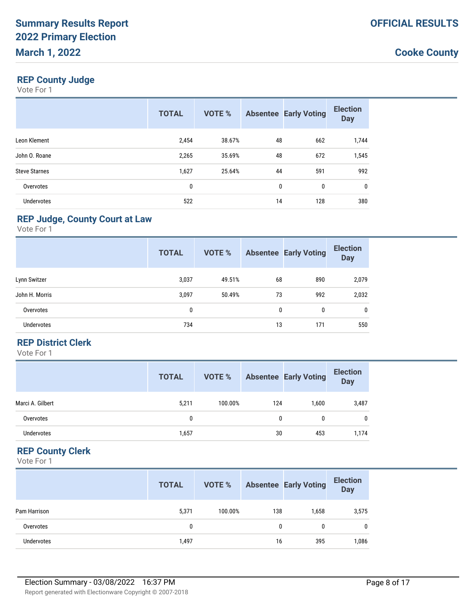## **REP County Judge**

Vote For 1

|                      | <b>TOTAL</b> | <b>VOTE %</b> |              | <b>Absentee Early Voting</b> | <b>Election</b><br><b>Day</b> |
|----------------------|--------------|---------------|--------------|------------------------------|-------------------------------|
| Leon Klement         | 2,454        | 38.67%        | 48           | 662                          | 1,744                         |
| John O. Roane        | 2,265        | 35.69%        | 48           | 672                          | 1,545                         |
| <b>Steve Starnes</b> | 1,627        | 25.64%        | 44           | 591                          | 992                           |
| Overvotes            | 0            |               | $\mathbf{0}$ | 0                            | 0                             |
| <b>Undervotes</b>    | 522          |               | 14           | 128                          | 380                           |

### **REP Judge, County Court at Law**

Vote For 1

|                | <b>TOTAL</b> | <b>VOTE %</b> |              | <b>Absentee Early Voting</b> | <b>Election</b><br><b>Day</b> |
|----------------|--------------|---------------|--------------|------------------------------|-------------------------------|
| Lynn Switzer   | 3,037        | 49.51%        | 68           | 890                          | 2,079                         |
| John H. Morris | 3,097        | 50.49%        | 73           | 992                          | 2,032                         |
| Overvotes      | 0            |               | $\mathbf{0}$ | 0                            | $\mathbf 0$                   |
| Undervotes     | 734          |               | 13           | 171                          | 550                           |

#### **REP District Clerk**

Vote For 1

|                  | <b>TOTAL</b> | <b>VOTE %</b> |     | <b>Absentee Early Voting</b> | <b>Election</b><br>Day |
|------------------|--------------|---------------|-----|------------------------------|------------------------|
| Marci A. Gilbert | 5,211        | 100.00%       | 124 | 1.600                        | 3,487                  |
| Overvotes        | 0            |               | 0   | 0                            | $\mathbf{0}$           |
| Undervotes       | 1,657        |               | 30  | 453                          | 1,174                  |

### **REP County Clerk**

|              | <b>TOTAL</b> | <b>VOTE %</b> |     | <b>Absentee Early Voting</b> | <b>Election</b><br><b>Day</b> |
|--------------|--------------|---------------|-----|------------------------------|-------------------------------|
| Pam Harrison | 5,371        | 100.00%       | 138 | 1,658                        | 3,575                         |
| Overvotes    | 0            |               | 0   | 0                            | $\mathbf{0}$                  |
| Undervotes   | 1,497        |               | 16  | 395                          | 1,086                         |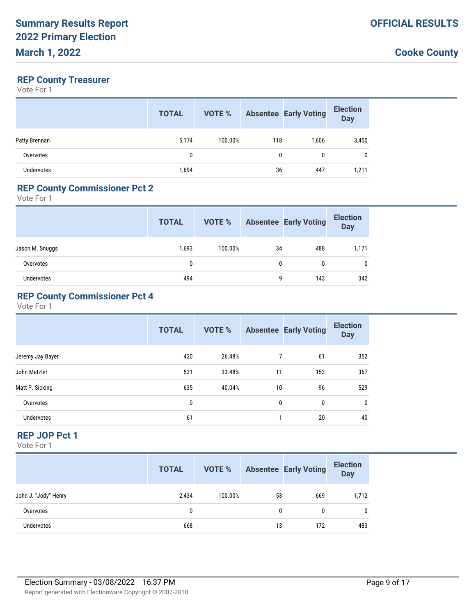#### **REP County Treasurer**

Vote For 1

|               | <b>TOTAL</b> | VOTE %  |     | <b>Absentee Early Voting</b> | <b>Election</b><br><b>Day</b> |
|---------------|--------------|---------|-----|------------------------------|-------------------------------|
| Patty Brennan | 5,174        | 100.00% | 118 | 1,606                        | 3,450                         |
| Overvotes     | 0            |         | 0   | 0                            | $\mathbf{0}$                  |
| Undervotes    | 1,694        |         | 36  | 447                          | 1,211                         |

#### **REP County Commissioner Pct 2**

Vote For 1

|                 | <b>TOTAL</b> | VOTE %  |              | <b>Absentee Early Voting</b> | <b>Election</b><br><b>Day</b> |
|-----------------|--------------|---------|--------------|------------------------------|-------------------------------|
| Jason M. Snuggs | 1,693        | 100.00% | 34           | 488                          | 1,171                         |
| Overvotes       | 0            |         | $\mathbf{0}$ | $\mathbf{0}$                 | $\mathbf{0}$                  |
| Undervotes      | 494          |         | 9            | 143                          | 342                           |

### **REP County Commissioner Pct 4**

Vote For 1

|                   | <b>TOTAL</b> | <b>VOTE %</b> |              | <b>Absentee Early Voting</b> | <b>Election</b><br><b>Day</b> |
|-------------------|--------------|---------------|--------------|------------------------------|-------------------------------|
| Jeremy Jay Bayer  | 420          | 26.48%        | 7            | 61                           | 352                           |
| John Metzler      | 531          | 33.48%        | 11           | 153                          | 367                           |
| Matt P. Sicking   | 635          | 40.04%        | 10           | 96                           | 529                           |
| Overvotes         | 0            |               | $\mathbf{0}$ | 0                            | $\mathbf{0}$                  |
| <b>Undervotes</b> | 61           |               |              | 20                           | 40                            |

#### **REP JOP Pct 1**

|                      | <b>TOTAL</b> | VOTE %  |    | <b>Absentee Early Voting</b> | <b>Election</b><br><b>Day</b> |
|----------------------|--------------|---------|----|------------------------------|-------------------------------|
| John J. "Jody" Henry | 2.434        | 100.00% | 53 | 669                          | 1,712                         |
| Overvotes            | 0            |         | 0  |                              | $\mathbf{0}$                  |
| <b>Undervotes</b>    | 668          |         | 13 | 172                          | 483                           |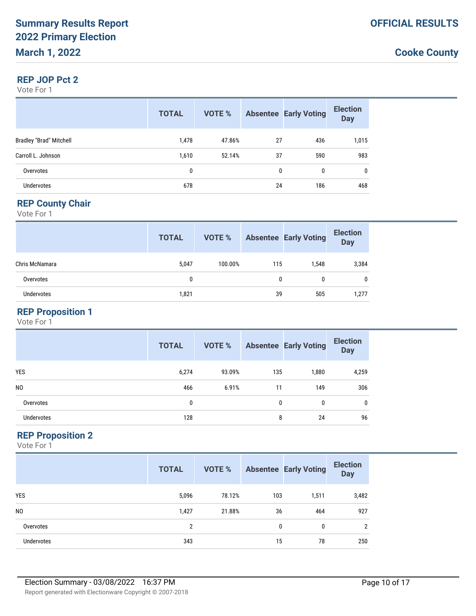#### **REP JOP Pct 2**

Vote For 1

|                                | <b>TOTAL</b> | <b>VOTE %</b> |              | <b>Absentee Early Voting</b> | <b>Election</b><br><b>Day</b> |
|--------------------------------|--------------|---------------|--------------|------------------------------|-------------------------------|
| <b>Bradley "Brad" Mitchell</b> | 1,478        | 47.86%        | 27           | 436                          | 1,015                         |
| Carroll L. Johnson             | 1,610        | 52.14%        | 37           | 590                          | 983                           |
| Overvotes                      | 0            |               | $\mathbf{0}$ | $\mathbf{0}$                 | $\mathbf{0}$                  |
| Undervotes                     | 678          |               | 24           | 186                          | 468                           |

#### **REP County Chair**

Vote For 1

|                   | <b>TOTAL</b> | VOTE %  |     | <b>Absentee Early Voting</b> | <b>Election</b><br><b>Day</b> |
|-------------------|--------------|---------|-----|------------------------------|-------------------------------|
| Chris McNamara    | 5,047        | 100.00% | 115 | 1.548                        | 3,384                         |
| Overvotes         | $\mathbf{0}$ |         | 0   | 0                            | 0                             |
| <b>Undervotes</b> | 1,821        |         | 39  | 505                          | 1,277                         |

### **REP Proposition 1**

Vote For 1

|                   | <b>TOTAL</b> | <b>VOTE %</b> |              | <b>Absentee Early Voting</b> | <b>Election</b><br><b>Day</b> |
|-------------------|--------------|---------------|--------------|------------------------------|-------------------------------|
| <b>YES</b>        | 6,274        | 93.09%        | 135          | 1,880                        | 4,259                         |
| N <sub>0</sub>    | 466          | 6.91%         | 11           | 149                          | 306                           |
| Overvotes         | 0            |               | $\mathbf{0}$ | 0                            | 0                             |
| <b>Undervotes</b> | 128          |               | 8            | 24                           | 96                            |

#### **REP Proposition 2**

|                   | <b>TOTAL</b>   | <b>VOTE %</b> |     | <b>Absentee Early Voting</b> | <b>Election</b><br><b>Day</b> |
|-------------------|----------------|---------------|-----|------------------------------|-------------------------------|
| <b>YES</b>        | 5,096          | 78.12%        | 103 | 1,511                        | 3,482                         |
| N <sub>0</sub>    | 1,427          | 21.88%        | 36  | 464                          | 927                           |
| Overvotes         | $\overline{2}$ |               | 0   | 0                            | 2                             |
| <b>Undervotes</b> | 343            |               | 15  | 78                           | 250                           |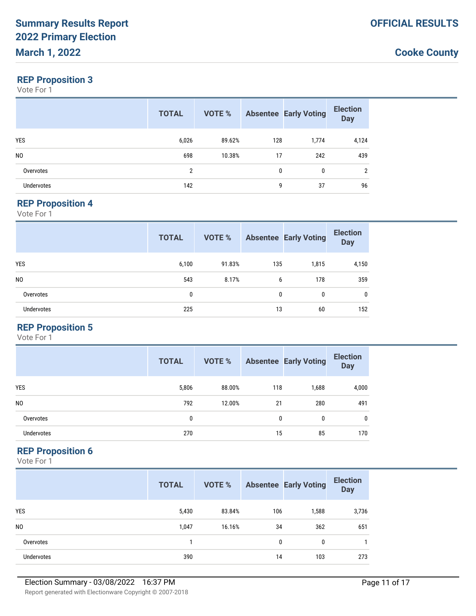### **REP Proposition 3**

Vote For 1

|                   | <b>TOTAL</b> | VOTE % |              | <b>Absentee Early Voting</b> | <b>Election</b><br><b>Day</b> |
|-------------------|--------------|--------|--------------|------------------------------|-------------------------------|
| <b>YES</b>        | 6,026        | 89.62% | 128          | 1,774                        | 4,124                         |
| N <sub>0</sub>    | 698          | 10.38% | 17           | 242                          | 439                           |
| Overvotes         | 2            |        | $\mathbf{0}$ | 0                            | 2                             |
| <b>Undervotes</b> | 142          |        | 9            | 37                           | 96                            |

#### **REP Proposition 4**

Vote For 1

|                   | <b>TOTAL</b> | <b>VOTE %</b> |              | <b>Absentee Early Voting</b> | <b>Election</b><br><b>Day</b> |
|-------------------|--------------|---------------|--------------|------------------------------|-------------------------------|
| <b>YES</b>        | 6,100        | 91.83%        | 135          | 1,815                        | 4,150                         |
| NO.               | 543          | 8.17%         | 6            | 178                          | 359                           |
| Overvotes         | 0            |               | $\mathbf{0}$ | 0                            | $\mathbf{0}$                  |
| <b>Undervotes</b> | 225          |               | 13           | 60                           | 152                           |

## **REP Proposition 5**

Vote For 1

|                   | <b>TOTAL</b> | <b>VOTE %</b> |     | <b>Absentee Early Voting</b> | <b>Election</b><br><b>Day</b> |
|-------------------|--------------|---------------|-----|------------------------------|-------------------------------|
| <b>YES</b>        | 5,806        | 88.00%        | 118 | 1,688                        | 4,000                         |
| N <sub>0</sub>    | 792          | 12.00%        | 21  | 280                          | 491                           |
| Overvotes         | 0            |               | 0   | 0                            | $\mathbf{0}$                  |
| <b>Undervotes</b> | 270          |               | 15  | 85                           | 170                           |

### **REP Proposition 6**

|                   | <b>TOTAL</b> | <b>VOTE %</b> |     | <b>Absentee Early Voting</b> | <b>Election</b><br><b>Day</b> |
|-------------------|--------------|---------------|-----|------------------------------|-------------------------------|
| <b>YES</b>        | 5,430        | 83.84%        | 106 | 1,588                        | 3,736                         |
| N <sub>0</sub>    | 1,047        | 16.16%        | 34  | 362                          | 651                           |
| Overvotes         |              |               | 0   | $\mathbf{0}$                 |                               |
| <b>Undervotes</b> | 390          |               | 14  | 103                          | 273                           |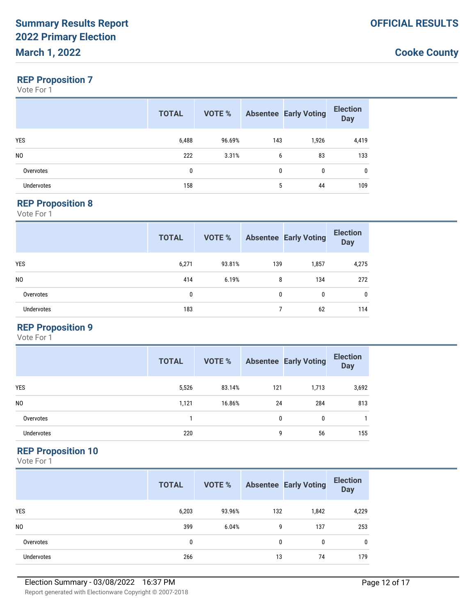### **REP Proposition 7**

Vote For 1

|                | <b>TOTAL</b> | VOTE % |              | <b>Absentee Early Voting</b> | <b>Election</b><br><b>Day</b> |
|----------------|--------------|--------|--------------|------------------------------|-------------------------------|
| <b>YES</b>     | 6,488        | 96.69% | 143          | 1,926                        | 4,419                         |
| N <sub>0</sub> | 222          | 3.31%  | 6            | 83                           | 133                           |
| Overvotes      | 0            |        | $\mathbf{0}$ | 0                            | 0                             |
| Undervotes     | 158          |        | 5            | 44                           | 109                           |

#### **REP Proposition 8**

Vote For 1

|                   | <b>TOTAL</b> | <b>VOTE %</b> |              | <b>Absentee Early Voting</b> | <b>Election</b><br><b>Day</b> |
|-------------------|--------------|---------------|--------------|------------------------------|-------------------------------|
| <b>YES</b>        | 6,271        | 93.81%        | 139          | 1,857                        | 4,275                         |
| N <sub>0</sub>    | 414          | 6.19%         | 8            | 134                          | 272                           |
| Overvotes         | 0            |               | $\mathbf{0}$ | 0                            | 0                             |
| <b>Undervotes</b> | 183          |               |              | 62                           | 114                           |

## **REP Proposition 9**

Vote For 1

|                   | <b>TOTAL</b> | <b>VOTE %</b> |     | <b>Absentee Early Voting</b> | <b>Election</b><br><b>Day</b> |
|-------------------|--------------|---------------|-----|------------------------------|-------------------------------|
| <b>YES</b>        | 5,526        | 83.14%        | 121 | 1,713                        | 3,692                         |
| N <sub>0</sub>    | 1,121        | 16.86%        | 24  | 284                          | 813                           |
| Overvotes         |              |               | 0   | $\mathbf{0}$                 |                               |
| <b>Undervotes</b> | 220          |               | 9   | 56                           | 155                           |

### **REP Proposition 10**

|                   | <b>TOTAL</b> | <b>VOTE %</b> |     | <b>Absentee Early Voting</b> | <b>Election</b><br><b>Day</b> |
|-------------------|--------------|---------------|-----|------------------------------|-------------------------------|
| <b>YES</b>        | 6,203        | 93.96%        | 132 | 1,842                        | 4,229                         |
| N <sub>0</sub>    | 399          | 6.04%         | 9   | 137                          | 253                           |
| Overvotes         | 0            |               | 0   | 0                            | $\mathbf 0$                   |
| <b>Undervotes</b> | 266          |               | 13  | 74                           | 179                           |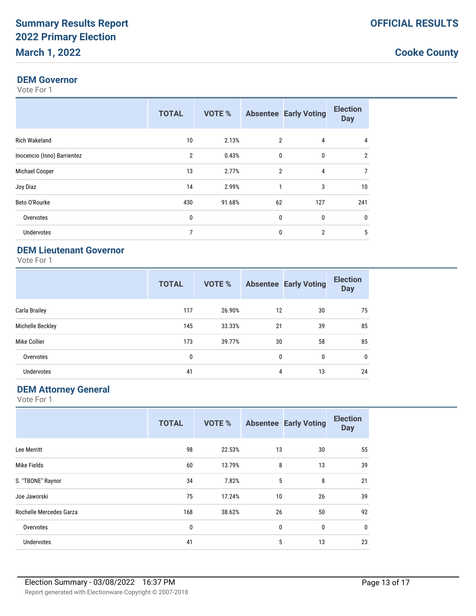#### **DEM Governor**

Vote For 1

|                             | <b>TOTAL</b>   | <b>VOTE %</b> |                | <b>Absentee Early Voting</b> | <b>Election</b><br><b>Day</b> |
|-----------------------------|----------------|---------------|----------------|------------------------------|-------------------------------|
| <b>Rich Wakeland</b>        | 10             | 2.13%         | 2              | 4                            | 4                             |
| Inocencio (Inno) Barrientez | $\overline{2}$ | 0.43%         | $\mathbf{0}$   | 0                            | $\overline{2}$                |
| Michael Cooper              | 13             | 2.77%         | $\overline{2}$ | 4                            | 7                             |
| Joy Diaz                    | 14             | 2.99%         | 1              | 3                            | 10                            |
| Beto O'Rourke               | 430            | 91.68%        | 62             | 127                          | 241                           |
| Overvotes                   | 0              |               | $\mathbf{0}$   | 0                            | 0                             |
| <b>Undervotes</b>           | 7              |               | 0              | $\overline{2}$               | 5                             |

## **DEM Lieutenant Governor**

Vote For 1

|                   | <b>TOTAL</b> | <b>VOTE %</b> |              | <b>Absentee Early Voting</b> | <b>Election</b><br><b>Day</b> |
|-------------------|--------------|---------------|--------------|------------------------------|-------------------------------|
| Carla Brailey     | 117          | 26.90%        | 12           | 30                           | 75                            |
| Michelle Beckley  | 145          | 33.33%        | 21           | 39                           | 85                            |
| Mike Collier      | 173          | 39.77%        | 30           | 58                           | 85                            |
| Overvotes         | 0            |               | $\mathbf{0}$ | 0                            | $\mathbf 0$                   |
| <b>Undervotes</b> | 41           |               | 4            | 13                           | 24                            |

### **DEM Attorney General**

|                         | <b>TOTAL</b> | <b>VOTE %</b> |             | <b>Absentee Early Voting</b> | <b>Election</b><br><b>Day</b> |
|-------------------------|--------------|---------------|-------------|------------------------------|-------------------------------|
| Lee Merritt             | 98           | 22.53%        | 13          | 30                           | 55                            |
| Mike Fields             | 60           | 13.79%        | 8           | 13                           | 39                            |
| S. "TBONE" Raynor       | 34           | 7.82%         | 5           | 8                            | 21                            |
| Joe Jaworski            | 75           | 17.24%        | 10          | 26                           | 39                            |
| Rochelle Mercedes Garza | 168          | 38.62%        | 26          | 50                           | 92                            |
| Overvotes               | 0            |               | $\mathbf 0$ | $\mathbf{0}$                 | 0                             |
| <b>Undervotes</b>       | 41           |               | 5           | 13                           | 23                            |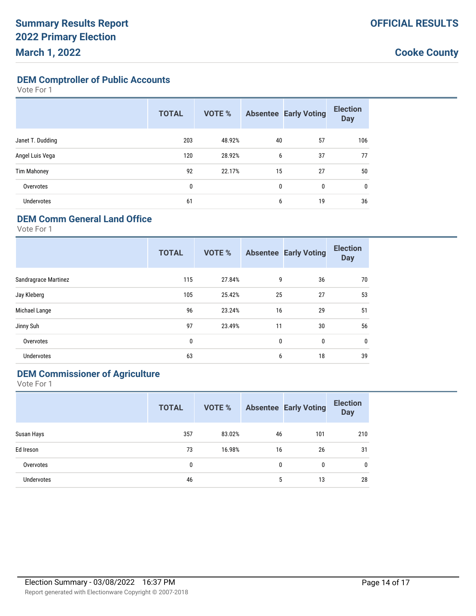**DEM Comptroller of Public Accounts**

Vote For 1

|                    | <b>TOTAL</b> | <b>VOTE %</b> |    | <b>Absentee Early Voting</b> | <b>Election</b><br><b>Day</b> |
|--------------------|--------------|---------------|----|------------------------------|-------------------------------|
| Janet T. Dudding   | 203          | 48.92%        | 40 | 57                           | 106                           |
| Angel Luis Vega    | 120          | 28.92%        | 6  | 37                           | 77                            |
| <b>Tim Mahoney</b> | 92           | 22.17%        | 15 | 27                           | 50                            |
| Overvotes          | 0            |               | 0  | 0                            | 0                             |
| <b>Undervotes</b>  | 61           |               | 6  | 19                           | 36                            |

### **DEM Comm General Land Office**

Vote For 1

|                             | <b>TOTAL</b> | <b>VOTE %</b> |              | <b>Absentee Early Voting</b> | <b>Election</b><br><b>Day</b> |
|-----------------------------|--------------|---------------|--------------|------------------------------|-------------------------------|
| <b>Sandragrace Martinez</b> | 115          | 27.84%        | 9            | 36                           | 70                            |
| Jay Kleberg                 | 105          | 25.42%        | 25           | 27                           | 53                            |
| Michael Lange               | 96           | 23.24%        | 16           | 29                           | 51                            |
| Jinny Suh                   | 97           | 23.49%        | 11           | 30                           | 56                            |
| Overvotes                   | 0            |               | $\mathbf{0}$ | $\mathbf 0$                  | 0                             |
| <b>Undervotes</b>           | 63           |               | 6            | 18                           | 39                            |

# **DEM Commissioner of Agriculture**

|                   | <b>TOTAL</b> | VOTE % |    | <b>Absentee Early Voting</b> | <b>Election</b><br><b>Day</b> |
|-------------------|--------------|--------|----|------------------------------|-------------------------------|
| Susan Hays        | 357          | 83.02% | 46 | 101                          | 210                           |
| Ed Ireson         | 73           | 16.98% | 16 | 26                           | 31                            |
| Overvotes         | 0            |        | 0  | 0                            | 0                             |
| <b>Undervotes</b> | 46           |        | 5  | 13                           | 28                            |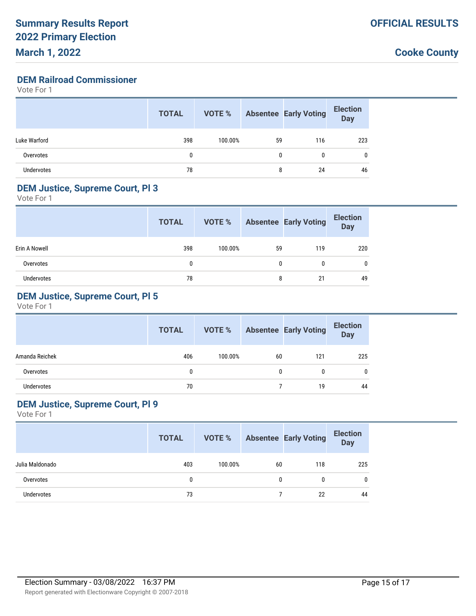#### **DEM Railroad Commissioner**

Vote For 1

|              | <b>TOTAL</b> | VOTE %  |    | <b>Absentee Early Voting</b> | <b>Election</b><br><b>Day</b> |
|--------------|--------------|---------|----|------------------------------|-------------------------------|
| Luke Warford | 398          | 100.00% | 59 | 116                          | 223                           |
| Overvotes    | 0            |         | 0  | 0                            | 0                             |
| Undervotes   | 78           |         | 8  | 24                           | 46                            |

#### **DEM Justice, Supreme Court, Pl 3**

Vote For 1

|               | <b>TOTAL</b> | VOTE %  |              | <b>Absentee Early Voting</b> | <b>Election</b><br><b>Day</b> |
|---------------|--------------|---------|--------------|------------------------------|-------------------------------|
| Erin A Nowell | 398          | 100.00% | 59           | 119                          | 220                           |
| Overvotes     | 0            |         | $\mathbf{0}$ | 0                            | $\mathbf{0}$                  |
| Undervotes    | 78           |         | 8            | 21                           | 49                            |

## **DEM Justice, Supreme Court, Pl 5**

Vote For 1

|                | <b>TOTAL</b> | VOTE %  |    | <b>Absentee Early Voting</b> | <b>Election</b><br>Day |
|----------------|--------------|---------|----|------------------------------|------------------------|
| Amanda Reichek | 406          | 100.00% | 60 | 121                          | 225                    |
| Overvotes      | 0            |         | 0  | 0                            |                        |
| Undervotes     | 70           |         |    | 19                           | 44                     |

### **DEM Justice, Supreme Court, Pl 9**

|                 | <b>TOTAL</b> | VOTE %  |    | <b>Absentee Early Voting</b> | <b>Election</b><br><b>Day</b> |
|-----------------|--------------|---------|----|------------------------------|-------------------------------|
| Julia Maldonado | 403          | 100.00% | 60 | 118                          | 225                           |
| Overvotes       | 0            |         | 0  |                              |                               |
| Undervotes      | 73           |         |    | 22                           | 44                            |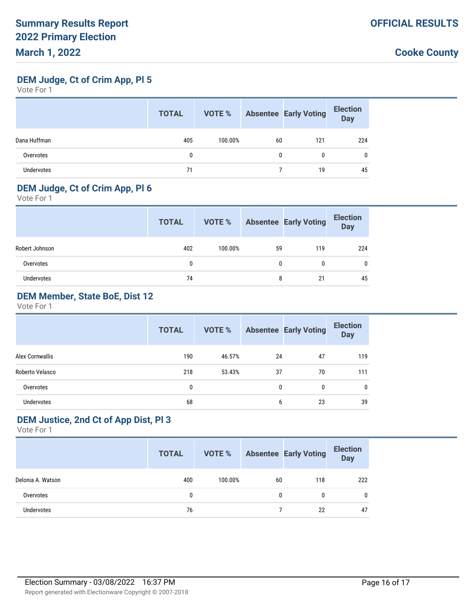**DEM Judge, Ct of Crim App, Pl 5**

Vote For 1

|              | <b>TOTAL</b> | <b>VOTE %</b> |    | <b>Absentee Early Voting</b> | <b>Election</b><br><b>Day</b> |
|--------------|--------------|---------------|----|------------------------------|-------------------------------|
| Dana Huffman | 405          | 100.00%       | 60 | 121                          | 224                           |
| Overvotes    | 0            |               | 0  | 0                            | 0                             |
| Undervotes   | 71           |               |    | 19                           | 45                            |

#### **DEM Judge, Ct of Crim App, Pl 6**

Vote For 1

|                | <b>TOTAL</b> | VOTE %  |    | <b>Absentee Early Voting</b> | <b>Election</b><br>Day |
|----------------|--------------|---------|----|------------------------------|------------------------|
| Robert Johnson | 402          | 100.00% | 59 | 119                          | 224                    |
| Overvotes      | 0            |         | 0  |                              | $\mathbf{0}$           |
| Undervotes     | 74           |         | 8  | 21                           | 45                     |

## **DEM Member, State BoE, Dist 12**

Vote For 1

|                   | <b>TOTAL</b> | VOTE % |              | <b>Absentee Early Voting</b> | <b>Election</b><br><b>Day</b> |
|-------------------|--------------|--------|--------------|------------------------------|-------------------------------|
| Alex Cornwallis   | 190          | 46.57% | 24           | 47                           | 119                           |
| Roberto Velasco   | 218          | 53.43% | 37           | 70                           | 111                           |
| Overvotes         | $\mathbf{0}$ |        | $\mathbf{0}$ | 0                            | $\mathbf{0}$                  |
| <b>Undervotes</b> | 68           |        | 6            | 23                           | 39                            |

#### **DEM Justice, 2nd Ct of App Dist, Pl 3**

|                   | <b>TOTAL</b> |         |    | <b>VOTE %</b> Absentee Early Voting | <b>Election</b><br>Day |
|-------------------|--------------|---------|----|-------------------------------------|------------------------|
| Delonia A. Watson | 400          | 100.00% | 60 | 118                                 | 222                    |
| Overvotes         | 0            |         | 0  | 0                                   | 0                      |
| Undervotes        | 76           |         |    | 22                                  | 47                     |